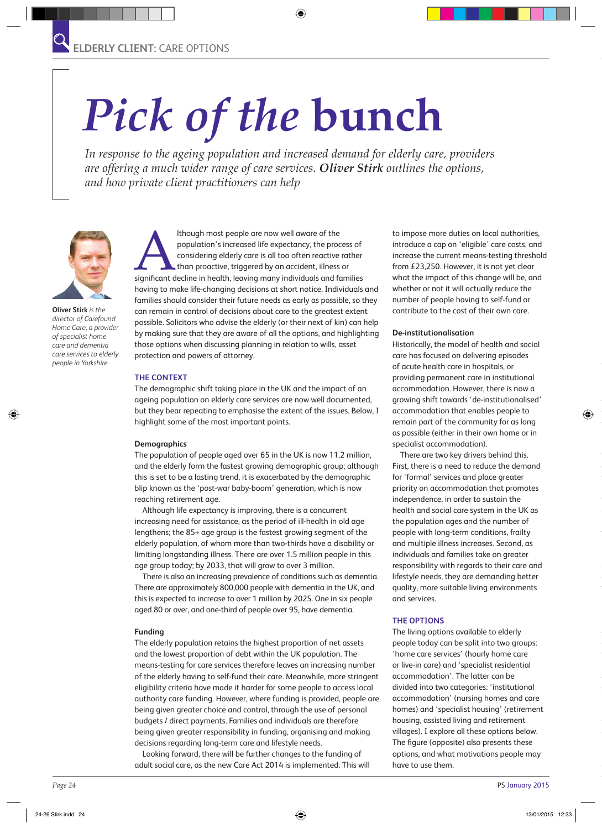# *Pick of the* **bunch**

*In response to the ageing population and increased demand for elderly care, providers are offering a much wider range of care services. Oliver Stirk outlines the options, and how private client practitioners can help*



**Oliver Stirk** *is the director of Carefound Home Care, a provider of specialist home care and dementia care services to elderly people in Yorkshire*

Although most people are now well aware of the<br>
population's increased life expectancy, the process of<br>
considering elderly care is all too often reactive rather<br>
than proactive, triggered by an accident, illness or<br>
signi population's increased life expectancy, the process of considering elderly care is all too often reactive rather than proactive, triggered by an accident, illness or having to make life-changing decisions at short notice. Individuals and families should consider their future needs as early as possible, so they can remain in control of decisions about care to the greatest extent possible. Solicitors who advise the elderly (or their next of kin) can help by making sure that they are aware of all the options, and highlighting those options when discussing planning in relation to wills, asset protection and powers of attorney.

#### **THE CONTEXT**

The demographic shift taking place in the UK and the impact of an ageing population on elderly care services are now well documented, but they bear repeating to emphasise the extent of the issues. Below, I highlight some of the most important points.

#### **Demographics**

The population of people aged over 65 in the UK is now 11.2 million, and the elderly form the fastest growing demographic group; although this is set to be a lasting trend, it is exacerbated by the demographic blip known as the 'post-war baby-boom' generation, which is now reaching retirement age.

Although life expectancy is improving, there is a concurrent increasing need for assistance, as the period of ill-health in old age lengthens; the 85+ age group is the fastest growing segment of the elderly population, of whom more than two-thirds have a disability or limiting longstanding illness. There are over 1.5 million people in this age group today; by 2033, that will grow to over 3 million.

There is also an increasing prevalence of conditions such as dementia. There are approximately 800,000 people with dementia in the UK, and this is expected to increase to over 1 million by 2025. One in six people aged 80 or over, and one-third of people over 95, have dementia.

#### **Funding**

The elderly population retains the highest proportion of net assets and the lowest proportion of debt within the UK population. The means-testing for care services therefore leaves an increasing number of the elderly having to self-fund their care. Meanwhile, more stringent eligibility criteria have made it harder for some people to access local authority care funding. However, where funding is provided, people are being given greater choice and control, through the use of personal budgets / direct payments. Families and individuals are therefore being given greater responsibility in funding, organising and making decisions regarding long-term care and lifestyle needs.

Looking forward, there will be further changes to the funding of adult social care, as the new Care Act 2014 is implemented. This will to impose more duties on local authorities, introduce a cap on 'eligible' care costs, and increase the current means-testing threshold from £23,250. However, it is not yet clear what the impact of this change will be, and whether or not it will actually reduce the number of people having to self-fund or contribute to the cost of their own care.

#### **De-institutionalisation**

Historically, the model of health and social care has focused on delivering episodes of acute health care in hospitals, or providing permanent care in institutional accommodation. However, there is now a growing shift towards 'de-institutionalised' accommodation that enables people to remain part of the community for as long as possible (either in their own home or in specialist accommodation).

There are two key drivers behind this. First, there is a need to reduce the demand for 'formal' services and place greater priority on accommodation that promotes independence, in order to sustain the health and social care system in the UK as the population ages and the number of people with long-term conditions, frailty and multiple illness increases. Second, as individuals and families take on greater responsibility with regards to their care and lifestyle needs, they are demanding better quality, more suitable living environments and services.

#### **THE OPTIONS**

The living options available to elderly people today can be split into two groups: 'home care services' (hourly home care or live-in care) and 'specialist residential accommodation'. The latter can be divided into two categories: 'institutional accommodation' (nursing homes and care homes) and 'specialist housing' (retirement housing, assisted living and retirement villages). I explore all these options below. The figure (opposite) also presents these options, and what motivations people may have to use them.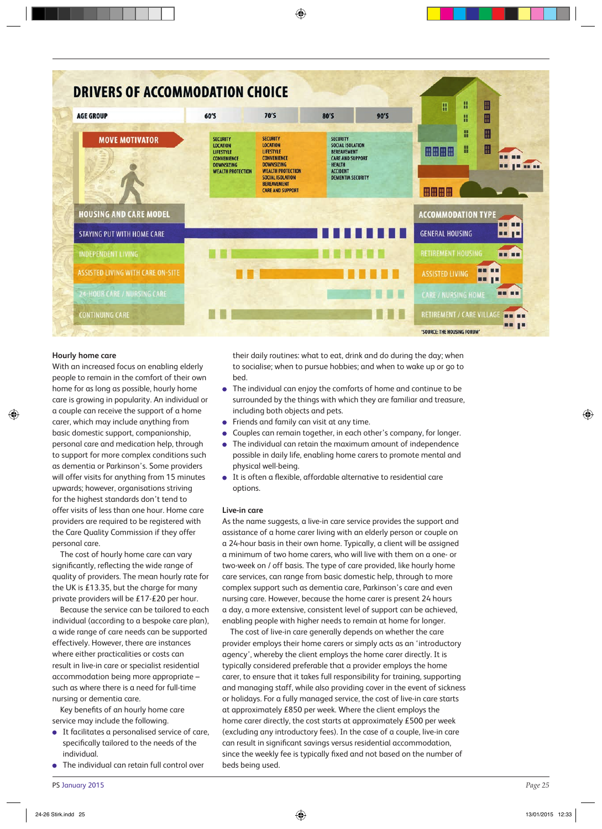| <b>AGE GROUP</b>                         | 60'S                                                                                                            | 70'S                                                                                                                                                                                        | <b>80'S</b>                                                                                                                                          | 90'S | H<br>⊞<br>Ħ<br>⊞<br>H                                   |
|------------------------------------------|-----------------------------------------------------------------------------------------------------------------|---------------------------------------------------------------------------------------------------------------------------------------------------------------------------------------------|------------------------------------------------------------------------------------------------------------------------------------------------------|------|---------------------------------------------------------|
| <b>MOVE MOTIVATOR</b>                    | <b>SECURITY</b><br><b>LOCATION</b><br>LIFESTYLE<br>CONVENIENCE<br><b>DOWNSIZING</b><br><b>WEALTH PROTECTION</b> | <b>SECURITY</b><br><b>LOCATION</b><br>LIFESTYLE<br><b>CONVENIENCE</b><br><b>DOWNSIZING</b><br><b>WEALTH PROTECTION</b><br>SOCIAL ISOLATION<br><b>BEREAVEMENT</b><br><b>CARE AND SUPPORT</b> | <b>SECURITY</b><br>SOCIAL ISOLATION<br><b>BEREAVEMENT</b><br><b>CARE AND SUPPORT</b><br><b>HEALTH</b><br><b>ACCIDENT</b><br><b>DEMENTIA SECURITY</b> |      | H<br>⊞<br>H<br>H<br><b>BBBB</b><br><b>THEFT</b><br>BBBB |
| <b>HOUSING AND CARE MODEL</b>            |                                                                                                                 |                                                                                                                                                                                             |                                                                                                                                                      |      | <b>ACCOMMODATION TYPE</b>                               |
| STAYING PUT WITH HOME CARE               |                                                                                                                 |                                                                                                                                                                                             |                                                                                                                                                      |      | <b>GENERAL HOUSING</b><br><b>TTP</b>                    |
| <b>INDEPENDENT LIVING</b>                |                                                                                                                 |                                                                                                                                                                                             |                                                                                                                                                      |      | <b>RETIREMENT HOUSING</b><br><b>THEFT</b>               |
|                                          |                                                                                                                 |                                                                                                                                                                                             |                                                                                                                                                      |      | <b>THE</b>                                              |
| <b>ASSISTED LIVING WITH CARE ON-SITE</b> |                                                                                                                 |                                                                                                                                                                                             |                                                                                                                                                      |      | <b>ASSISTED LIVING</b><br><b>THE TE</b>                 |

## **Hourly home care**

With an increased focus on enabling elderly people to remain in the comfort of their own home for as long as possible, hourly home care is growing in popularity. An individual or a couple can receive the support of a home carer, which may include anything from basic domestic support, companionship, personal care and medication help, through to support for more complex conditions such as dementia or Parkinson's. Some providers will offer visits for anything from 15 minutes upwards; however, organisations striving for the highest standards don't tend to offer visits of less than one hour. Home care providers are required to be registered with the Care Quality Commission if they offer personal care.

The cost of hourly home care can vary significantly, reflecting the wide range of quality of providers. The mean hourly rate for the UK is £13.35, but the charge for many private providers will be £17-£20 per hour.

Because the service can be tailored to each individual (according to a bespoke care plan), a wide range of care needs can be supported effectively. However, there are instances where either practicalities or costs can result in live-in care or specialist residential accommodation being more appropriate – such as where there is a need for full-time nursing or dementia care.

Key benefits of an hourly home care service may include the following.

- It facilitates a personalised service of care, specifically tailored to the needs of the individual.
- The individual can retain full control over

their daily routines: what to eat, drink and do during the day; when to socialise; when to pursue hobbies; and when to wake up or go to bed.

- The individual can enjoy the comforts of home and continue to be surrounded by the things with which they are familiar and treasure, including both objects and pets.
- **•** Friends and family can visit at any time.
- Couples can remain together, in each other's company, for longer.
- The individual can retain the maximum amount of independence possible in daily life, enabling home carers to promote mental and physical well-being.
- It is often a flexible, affordable alternative to residential care options.

## **Live-in care**

As the name suggests, a live-in care service provides the support and assistance of a home carer living with an elderly person or couple on a 24-hour basis in their own home. Typically, a client will be assigned a minimum of two home carers, who will live with them on a one- or two-week on / off basis. The type of care provided, like hourly home care services, can range from basic domestic help, through to more complex support such as dementia care, Parkinson's care and even nursing care. However, because the home carer is present 24 hours a day, a more extensive, consistent level of support can be achieved, enabling people with higher needs to remain at home for longer.

The cost of live-in care generally depends on whether the care provider employs their home carers or simply acts as an 'introductory agency', whereby the client employs the home carer directly. It is typically considered preferable that a provider employs the home carer, to ensure that it takes full responsibility for training, supporting and managing staff, while also providing cover in the event of sickness or holidays. For a fully managed service, the cost of live-in care starts at approximately £850 per week. Where the client employs the home carer directly, the cost starts at approximately £500 per week (excluding any introductory fees). In the case of a couple, live-in care can result in significant savings versus residential accommodation, since the weekly fee is typically fixed and not based on the number of beds being used.